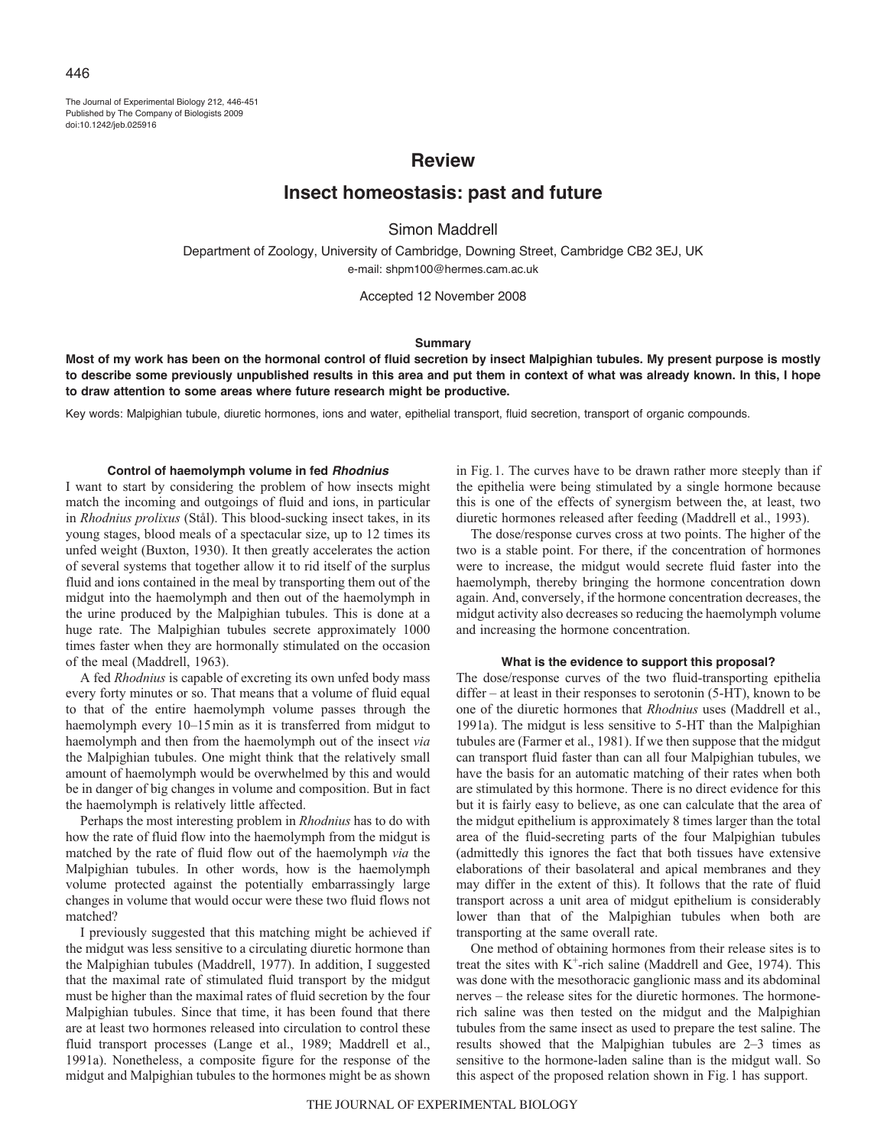The Journal of Experimental Biology 212, 446-451 Published by The Company of Biologists 2009 doi:10.1242/jeb.025916

# **Review**

## **Insect homeostasis: past and future**

Simon Maddrell

Department of Zoology, University of Cambridge, Downing Street, Cambridge CB2 3EJ, UK e-mail: shpm100@hermes.cam.ac.uk

Accepted 12 November 2008

### **Summary**

**Most of my work has been on the hormonal control of fluid secretion by insect Malpighian tubules. My present purpose is mostly to describe some previously unpublished results in this area and put them in context of what was already known. In this, I hope to draw attention to some areas where future research might be productive.**

Key words: Malpighian tubule, diuretic hormones, ions and water, epithelial transport, fluid secretion, transport of organic compounds.

## **Control of haemolymph volume in fed** *Rhodnius*

I want to start by considering the problem of how insects might match the incoming and outgoings of fluid and ions, in particular in *Rhodnius prolixus* (Stål). This blood-sucking insect takes, in its young stages, blood meals of a spectacular size, up to 12 times its unfed weight (Buxton, 1930). It then greatly accelerates the action of several systems that together allow it to rid itself of the surplus fluid and ions contained in the meal by transporting them out of the midgut into the haemolymph and then out of the haemolymph in the urine produced by the Malpighian tubules. This is done at a huge rate. The Malpighian tubules secrete approximately 1000 times faster when they are hormonally stimulated on the occasion of the meal (Maddrell, 1963).

A fed *Rhodnius* is capable of excreting its own unfed body mass every forty minutes or so. That means that a volume of fluid equal to that of the entire haemolymph volume passes through the haemolymph every 10–15min as it is transferred from midgut to haemolymph and then from the haemolymph out of the insect *via* the Malpighian tubules. One might think that the relatively small amount of haemolymph would be overwhelmed by this and would be in danger of big changes in volume and composition. But in fact the haemolymph is relatively little affected.

Perhaps the most interesting problem in *Rhodnius* has to do with how the rate of fluid flow into the haemolymph from the midgut is matched by the rate of fluid flow out of the haemolymph *via* the Malpighian tubules. In other words, how is the haemolymph volume protected against the potentially embarrassingly large changes in volume that would occur were these two fluid flows not matched?

I previously suggested that this matching might be achieved if the midgut was less sensitive to a circulating diuretic hormone than the Malpighian tubules (Maddrell, 1977). In addition, I suggested that the maximal rate of stimulated fluid transport by the midgut must be higher than the maximal rates of fluid secretion by the four Malpighian tubules. Since that time, it has been found that there are at least two hormones released into circulation to control these fluid transport processes (Lange et al., 1989; Maddrell et al., 1991a). Nonetheless, a composite figure for the response of the midgut and Malpighian tubules to the hormones might be as shown

in Fig.1. The curves have to be drawn rather more steeply than if the epithelia were being stimulated by a single hormone because this is one of the effects of synergism between the, at least, two diuretic hormones released after feeding (Maddrell et al., 1993).

The dose/response curves cross at two points. The higher of the two is a stable point. For there, if the concentration of hormones were to increase, the midgut would secrete fluid faster into the haemolymph, thereby bringing the hormone concentration down again. And, conversely, if the hormone concentration decreases, the midgut activity also decreases so reducing the haemolymph volume and increasing the hormone concentration.

### **What is the evidence to support this proposal?**

The dose/response curves of the two fluid-transporting epithelia differ – at least in their responses to serotonin (5-HT), known to be one of the diuretic hormones that *Rhodnius* uses (Maddrell et al., 1991a). The midgut is less sensitive to 5-HT than the Malpighian tubules are (Farmer et al., 1981). If we then suppose that the midgut can transport fluid faster than can all four Malpighian tubules, we have the basis for an automatic matching of their rates when both are stimulated by this hormone. There is no direct evidence for this but it is fairly easy to believe, as one can calculate that the area of the midgut epithelium is approximately 8 times larger than the total area of the fluid-secreting parts of the four Malpighian tubules (admittedly this ignores the fact that both tissues have extensive elaborations of their basolateral and apical membranes and they may differ in the extent of this). It follows that the rate of fluid transport across a unit area of midgut epithelium is considerably lower than that of the Malpighian tubules when both are transporting at the same overall rate.

One method of obtaining hormones from their release sites is to treat the sites with K+-rich saline (Maddrell and Gee, 1974). This was done with the mesothoracic ganglionic mass and its abdominal nerves – the release sites for the diuretic hormones. The hormonerich saline was then tested on the midgut and the Malpighian tubules from the same insect as used to prepare the test saline. The results showed that the Malpighian tubules are 2–3 times as sensitive to the hormone-laden saline than is the midgut wall. So this aspect of the proposed relation shown in Fig.1 has support.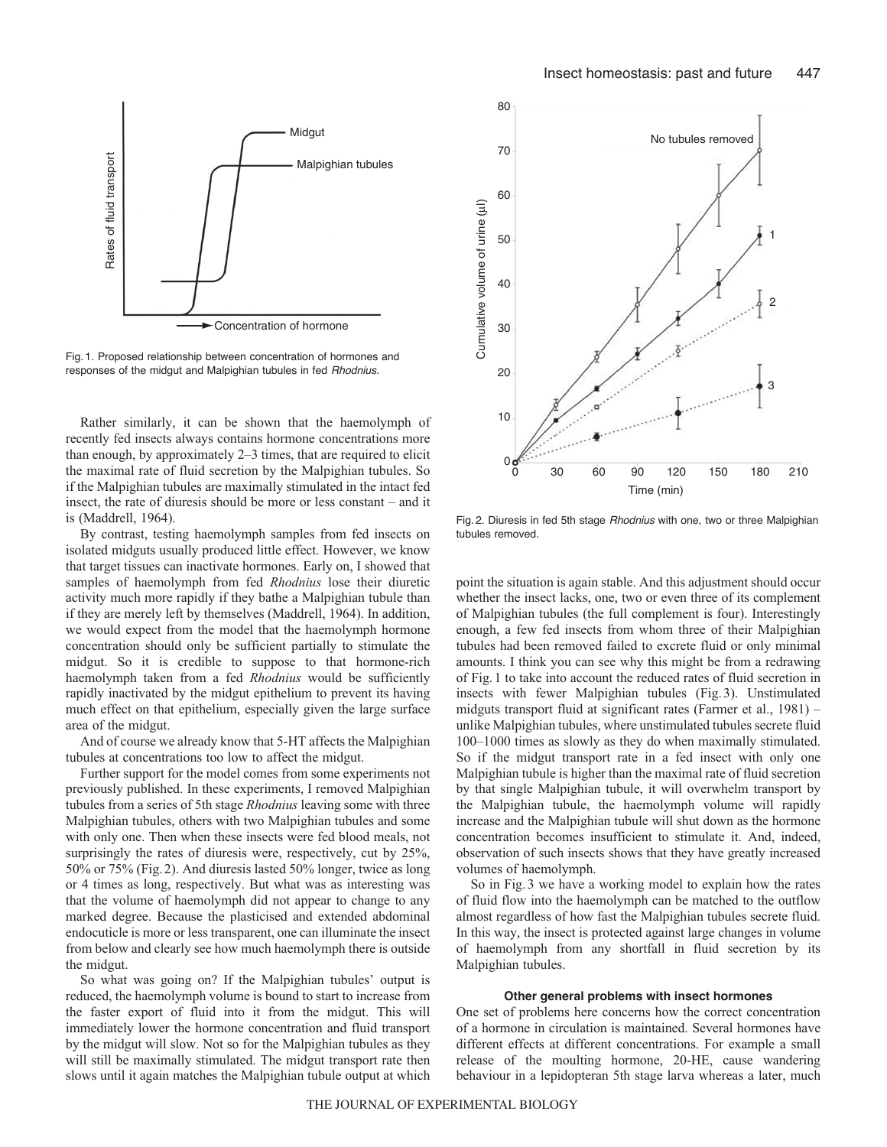



Fig. 1. Proposed relationship between concentration of hormones and responses of the midgut and Malpighian tubules in fed Rhodnius.

Rather similarly, it can be shown that the haemolymph of recently fed insects always contains hormone concentrations more than enough, by approximately 2–3 times, that are required to elicit the maximal rate of fluid secretion by the Malpighian tubules. So if the Malpighian tubules are maximally stimulated in the intact fed insect, the rate of diuresis should be more or less constant – and it is (Maddrell, 1964).

By contrast, testing haemolymph samples from fed insects on isolated midguts usually produced little effect. However, we know that target tissues can inactivate hormones. Early on, I showed that samples of haemolymph from fed *Rhodnius* lose their diuretic activity much more rapidly if they bathe a Malpighian tubule than if they are merely left by themselves (Maddrell, 1964). In addition, we would expect from the model that the haemolymph hormone concentration should only be sufficient partially to stimulate the midgut. So it is credible to suppose to that hormone-rich haemolymph taken from a fed *Rhodnius* would be sufficiently rapidly inactivated by the midgut epithelium to prevent its having much effect on that epithelium, especially given the large surface area of the midgut.

And of course we already know that 5-HT affects the Malpighian tubules at concentrations too low to affect the midgut.

Further support for the model comes from some experiments not previously published. In these experiments, I removed Malpighian tubules from a series of 5th stage *Rhodnius* leaving some with three Malpighian tubules, others with two Malpighian tubules and some with only one. Then when these insects were fed blood meals, not surprisingly the rates of diuresis were, respectively, cut by 25%, 50% or 75% (Fig.2). And diuresis lasted 50% longer, twice as long or 4 times as long, respectively. But what was as interesting was that the volume of haemolymph did not appear to change to any marked degree. Because the plasticised and extended abdominal endocuticle is more or less transparent, one can illuminate the insect from below and clearly see how much haemolymph there is outside the midgut.

So what was going on? If the Malpighian tubules' output is reduced, the haemolymph volume is bound to start to increase from the faster export of fluid into it from the midgut. This will immediately lower the hormone concentration and fluid transport by the midgut will slow. Not so for the Malpighian tubules as they will still be maximally stimulated. The midgut transport rate then slows until it again matches the Malpighian tubule output at which



Fig. 2. Diuresis in fed 5th stage Rhodnius with one, two or three Malpighian tubules removed.

point the situation is again stable. And this adjustment should occur whether the insect lacks, one, two or even three of its complement of Malpighian tubules (the full complement is four). Interestingly enough, a few fed insects from whom three of their Malpighian tubules had been removed failed to excrete fluid or only minimal amounts. I think you can see why this might be from a redrawing of Fig.1 to take into account the reduced rates of fluid secretion in insects with fewer Malpighian tubules (Fig.3). Unstimulated midguts transport fluid at significant rates (Farmer et al., 1981) – unlike Malpighian tubules, where unstimulated tubules secrete fluid 100–1000 times as slowly as they do when maximally stimulated. So if the midgut transport rate in a fed insect with only one Malpighian tubule is higher than the maximal rate of fluid secretion by that single Malpighian tubule, it will overwhelm transport by the Malpighian tubule, the haemolymph volume will rapidly increase and the Malpighian tubule will shut down as the hormone concentration becomes insufficient to stimulate it. And, indeed, observation of such insects shows that they have greatly increased volumes of haemolymph.

So in Fig.3 we have a working model to explain how the rates of fluid flow into the haemolymph can be matched to the outflow almost regardless of how fast the Malpighian tubules secrete fluid. In this way, the insect is protected against large changes in volume of haemolymph from any shortfall in fluid secretion by its Malpighian tubules.

#### **Other general problems with insect hormones**

One set of problems here concerns how the correct concentration of a hormone in circulation is maintained. Several hormones have different effects at different concentrations. For example a small release of the moulting hormone, 20-HE, cause wandering behaviour in a lepidopteran 5th stage larva whereas a later, much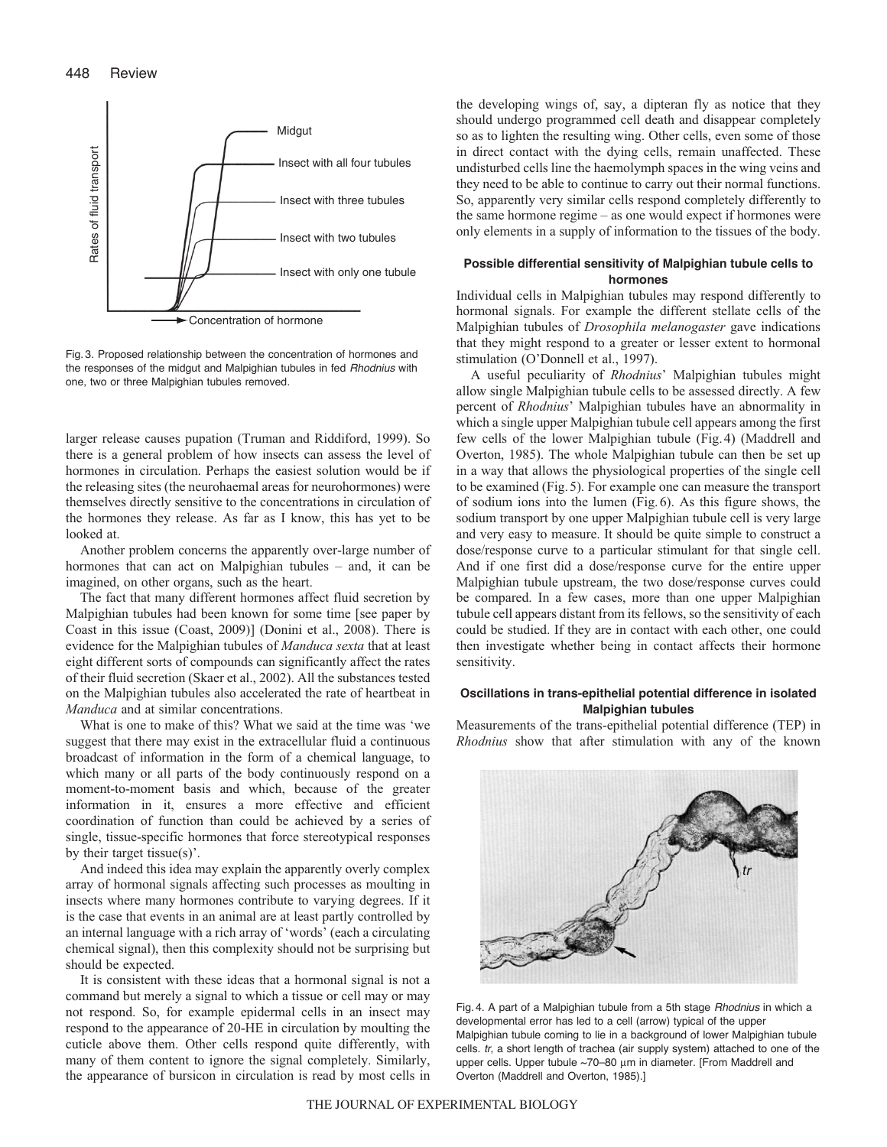

Fig. 3. Proposed relationship between the concentration of hormones and the responses of the midgut and Malpighian tubules in fed Rhodnius with one, two or three Malpighian tubules removed.

larger release causes pupation (Truman and Riddiford, 1999). So there is a general problem of how insects can assess the level of hormones in circulation. Perhaps the easiest solution would be if the releasing sites (the neurohaemal areas for neurohormones) were themselves directly sensitive to the concentrations in circulation of the hormones they release. As far as I know, this has yet to be looked at.

Another problem concerns the apparently over-large number of hormones that can act on Malpighian tubules – and, it can be imagined, on other organs, such as the heart.

The fact that many different hormones affect fluid secretion by Malpighian tubules had been known for some time [see paper by Coast in this issue (Coast, 2009)] (Donini et al., 2008). There is evidence for the Malpighian tubules of *Manduca sexta* that at least eight different sorts of compounds can significantly affect the rates of their fluid secretion (Skaer et al., 2002). All the substances tested on the Malpighian tubules also accelerated the rate of heartbeat in *Manduca* and at similar concentrations.

What is one to make of this? What we said at the time was 'we suggest that there may exist in the extracellular fluid a continuous broadcast of information in the form of a chemical language, to which many or all parts of the body continuously respond on a moment-to-moment basis and which, because of the greater information in it, ensures a more effective and efficient coordination of function than could be achieved by a series of single, tissue-specific hormones that force stereotypical responses by their target tissue(s)'.

And indeed this idea may explain the apparently overly complex array of hormonal signals affecting such processes as moulting in insects where many hormones contribute to varying degrees. If it is the case that events in an animal are at least partly controlled by an internal language with a rich array of 'words' (each a circulating chemical signal), then this complexity should not be surprising but should be expected.

It is consistent with these ideas that a hormonal signal is not a command but merely a signal to which a tissue or cell may or may not respond. So, for example epidermal cells in an insect may respond to the appearance of 20-HE in circulation by moulting the cuticle above them. Other cells respond quite differently, with many of them content to ignore the signal completely. Similarly, the appearance of bursicon in circulation is read by most cells in

the developing wings of, say, a dipteran fly as notice that they should undergo programmed cell death and disappear completely so as to lighten the resulting wing. Other cells, even some of those in direct contact with the dying cells, remain unaffected. These undisturbed cells line the haemolymph spaces in the wing veins and they need to be able to continue to carry out their normal functions. So, apparently very similar cells respond completely differently to the same hormone regime – as one would expect if hormones were only elements in a supply of information to the tissues of the body.

## **Possible differential sensitivity of Malpighian tubule cells to hormones**

Individual cells in Malpighian tubules may respond differently to hormonal signals. For example the different stellate cells of the Malpighian tubules of *Drosophila melanogaster* gave indications that they might respond to a greater or lesser extent to hormonal stimulation (O'Donnell et al., 1997).

A useful peculiarity of *Rhodnius*' Malpighian tubules might allow single Malpighian tubule cells to be assessed directly. A few percent of *Rhodnius*' Malpighian tubules have an abnormality in which a single upper Malpighian tubule cell appears among the first few cells of the lower Malpighian tubule (Fig.4) (Maddrell and Overton, 1985). The whole Malpighian tubule can then be set up in a way that allows the physiological properties of the single cell to be examined (Fig.5). For example one can measure the transport of sodium ions into the lumen (Fig.6). As this figure shows, the sodium transport by one upper Malpighian tubule cell is very large and very easy to measure. It should be quite simple to construct a dose/response curve to a particular stimulant for that single cell. And if one first did a dose/response curve for the entire upper Malpighian tubule upstream, the two dose/response curves could be compared. In a few cases, more than one upper Malpighian tubule cell appears distant from its fellows, so the sensitivity of each could be studied. If they are in contact with each other, one could then investigate whether being in contact affects their hormone sensitivity.

## **Oscillations in trans-epithelial potential difference in isolated Malpighian tubules**

Measurements of the trans-epithelial potential difference (TEP) in *Rhodnius* show that after stimulation with any of the known



Fig. 4. A part of a Malpighian tubule from a 5th stage Rhodnius in which a developmental error has led to a cell (arrow) typical of the upper Malpighian tubule coming to lie in a background of lower Malpighian tubule cells. tr, a short length of trachea (air supply system) attached to one of the upper cells. Upper tubule ~70–80 μm in diameter. [From Maddrell and Overton (Maddrell and Overton, 1985).]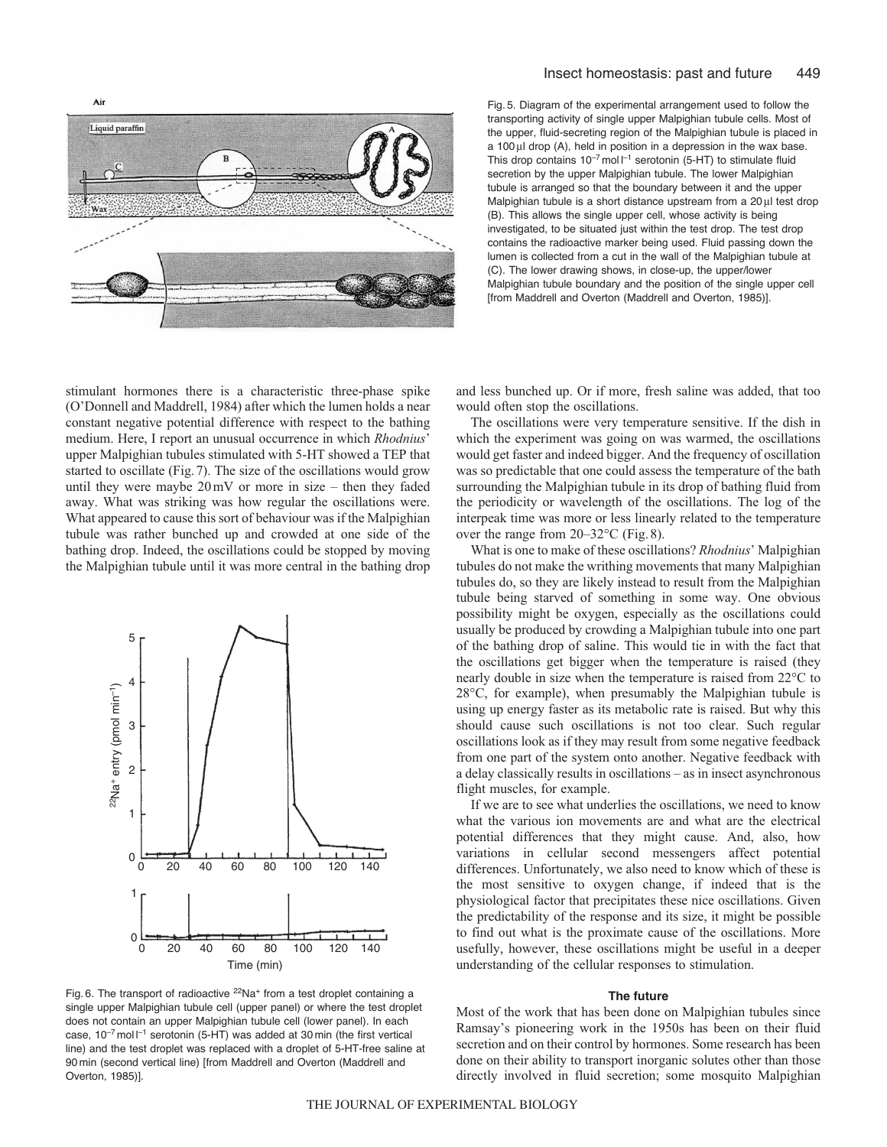

Fig. 5. Diagram of the experimental arrangement used to follow the transporting activity of single upper Malpighian tubule cells. Most of the upper, fluid-secreting region of the Malpighian tubule is placed in a 100 μl drop (A), held in position in a depression in the wax base. This drop contains  $10^{-7}$  mol  $1^{-1}$  serotonin (5-HT) to stimulate fluid secretion by the upper Malpighian tubule. The lower Malpighian tubule is arranged so that the boundary between it and the upper Malpighian tubule is a short distance upstream from a 20 μl test drop (B). This allows the single upper cell, whose activity is being investigated, to be situated just within the test drop. The test drop contains the radioactive marker being used. Fluid passing down the lumen is collected from a cut in the wall of the Malpighian tubule at (C). The lower drawing shows, in close-up, the upper/lower Malpighian tubule boundary and the position of the single upper cell [from Maddrell and Overton (Maddrell and Overton, 1985)].

stimulant hormones there is a characteristic three-phase spike (O'Donnell and Maddrell, 1984) after which the lumen holds a near constant negative potential difference with respect to the bathing medium. Here, I report an unusual occurrence in which *Rhodnius*' upper Malpighian tubules stimulated with 5-HT showed a TEP that started to oscillate (Fig.7). The size of the oscillations would grow until they were maybe 20mV or more in size – then they faded away. What was striking was how regular the oscillations were. What appeared to cause this sort of behaviour was if the Malpighian tubule was rather bunched up and crowded at one side of the bathing drop. Indeed, the oscillations could be stopped by moving the Malpighian tubule until it was more central in the bathing drop



Fig. 6. The transport of radioactive <sup>22</sup>Na<sup>+</sup> from a test droplet containing a single upper Malpighian tubule cell (upper panel) or where the test droplet does not contain an upper Malpighian tubule cell (lower panel). In each case,  $10^{-7}$  mol  $I^{-1}$  serotonin (5-HT) was added at 30 min (the first vertical line) and the test droplet was replaced with a droplet of 5-HT-free saline at 90 min (second vertical line) [from Maddrell and Overton (Maddrell and Overton, 1985)].

and less bunched up. Or if more, fresh saline was added, that too would often stop the oscillations.

The oscillations were very temperature sensitive. If the dish in which the experiment was going on was warmed, the oscillations would get faster and indeed bigger. And the frequency of oscillation was so predictable that one could assess the temperature of the bath surrounding the Malpighian tubule in its drop of bathing fluid from the periodicity or wavelength of the oscillations. The log of the interpeak time was more or less linearly related to the temperature over the range from 20–32°C (Fig.8).

What is one to make of these oscillations? *Rhodnius*' Malpighian tubules do not make the writhing movements that many Malpighian tubules do, so they are likely instead to result from the Malpighian tubule being starved of something in some way. One obvious possibility might be oxygen, especially as the oscillations could usually be produced by crowding a Malpighian tubule into one part of the bathing drop of saline. This would tie in with the fact that the oscillations get bigger when the temperature is raised (they nearly double in size when the temperature is raised from 22°C to 28°C, for example), when presumably the Malpighian tubule is using up energy faster as its metabolic rate is raised. But why this should cause such oscillations is not too clear. Such regular oscillations look as if they may result from some negative feedback from one part of the system onto another. Negative feedback with a delay classically results in oscillations – as in insect asynchronous flight muscles, for example.

If we are to see what underlies the oscillations, we need to know what the various ion movements are and what are the electrical potential differences that they might cause. And, also, how variations in cellular second messengers affect potential differences. Unfortunately, we also need to know which of these is the most sensitive to oxygen change, if indeed that is the physiological factor that precipitates these nice oscillations. Given the predictability of the response and its size, it might be possible to find out what is the proximate cause of the oscillations. More usefully, however, these oscillations might be useful in a deeper understanding of the cellular responses to stimulation.

#### **The future**

Most of the work that has been done on Malpighian tubules since Ramsay's pioneering work in the 1950s has been on their fluid secretion and on their control by hormones. Some research has been done on their ability to transport inorganic solutes other than those directly involved in fluid secretion; some mosquito Malpighian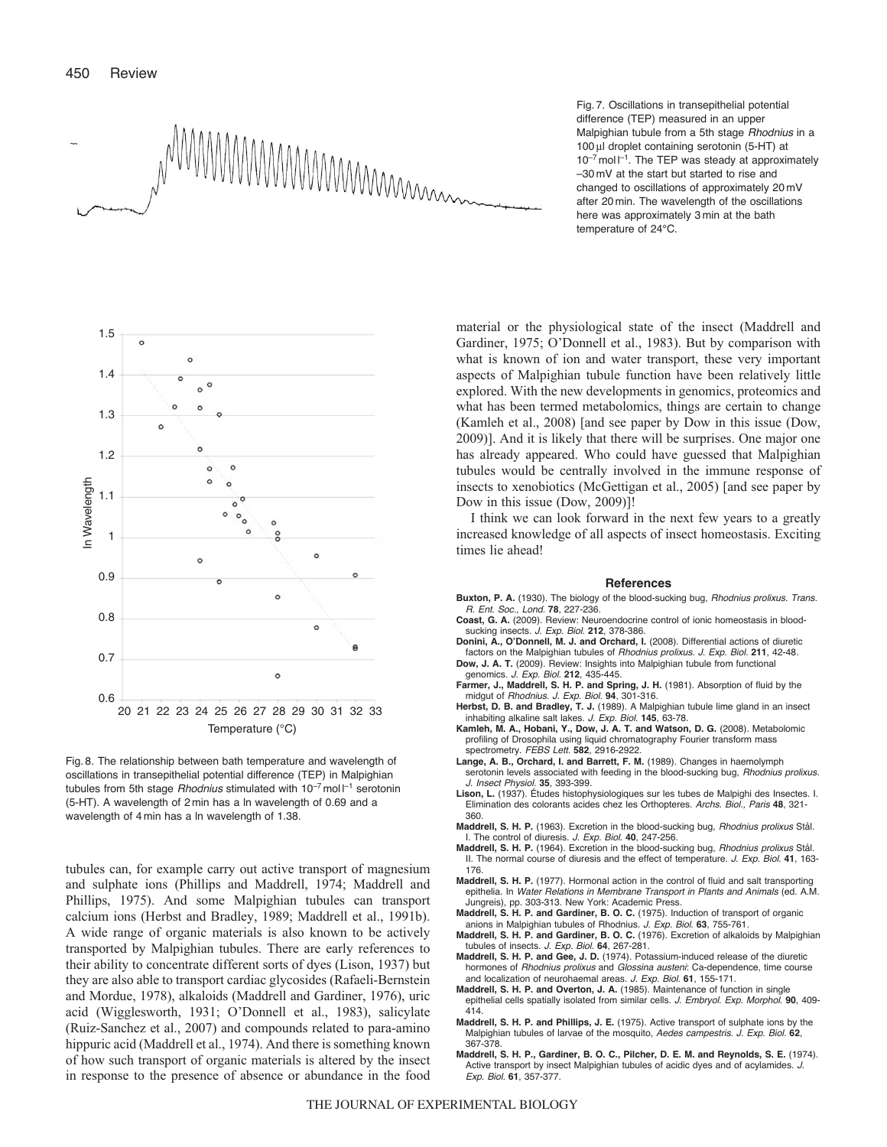

Fig. 7. Oscillations in transepithelial potential difference (TEP) measured in an upper Malpighian tubule from a 5th stage Rhodnius in a 100 μl droplet containing serotonin (5-HT) at  $10^{-7}$  mol  $I^{-1}$ . The TEP was steady at approximately –30 mV at the start but started to rise and changed to oscillations of approximately 20 mV after 20 min. The wavelength of the oscillations here was approximately 3 min at the bath temperature of 24°C.



Fig. 8. The relationship between bath temperature and wavelength of oscillations in transepithelial potential difference (TEP) in Malpighian tubules from 5th stage Rhodnius stimulated with  $10^{-7}$  mol  $I^{-1}$  serotonin (5-HT). A wavelength of 2 min has a ln wavelength of 0.69 and a wavelength of 4 min has a ln wavelength of 1.38.

tubules can, for example carry out active transport of magnesium and sulphate ions (Phillips and Maddrell, 1974; Maddrell and Phillips, 1975). And some Malpighian tubules can transport calcium ions (Herbst and Bradley, 1989; Maddrell et al., 1991b). A wide range of organic materials is also known to be actively transported by Malpighian tubules. There are early references to their ability to concentrate different sorts of dyes (Lison, 1937) but they are also able to transport cardiac glycosides (Rafaeli-Bernstein and Mordue, 1978), alkaloids (Maddrell and Gardiner, 1976), uric acid (Wigglesworth, 1931; O'Donnell et al., 1983), salicylate (Ruiz-Sanchez et al., 2007) and compounds related to para-amino hippuric acid (Maddrell et al., 1974). And there is something known of how such transport of organic materials is altered by the insect in response to the presence of absence or abundance in the food material or the physiological state of the insect (Maddrell and Gardiner, 1975; O'Donnell et al., 1983). But by comparison with what is known of ion and water transport, these very important aspects of Malpighian tubule function have been relatively little explored. With the new developments in genomics, proteomics and what has been termed metabolomics, things are certain to change (Kamleh et al., 2008) [and see paper by Dow in this issue (Dow, 2009)]. And it is likely that there will be surprises. One major one has already appeared. Who could have guessed that Malpighian tubules would be centrally involved in the immune response of insects to xenobiotics (McGettigan et al., 2005) [and see paper by Dow in this issue (Dow, 2009)]!

I think we can look forward in the next few years to a greatly increased knowledge of all aspects of insect homeostasis. Exciting times lie ahead!

#### **References**

- Buxton, P. A. (1930). The biology of the blood-sucking bug, Rhodnius prolixus. Trans. R. Ent. Soc., Lond. **78**, 227-236.
- **Coast, G. A.** (2009). Review: Neuroendocrine control of ionic homeostasis in bloodsucking insects. J. Exp. Biol. **212**, 378-386.
- **Donini, A., O'Donnell, M. J. and Orchard, I.** (2008). Differential actions of diuretic factors on the Malpighian tubules of Rhodnius prolixus. J. Exp. Biol. **211**, 42-48. **Dow, J. A. T.** (2009). Review: Insights into Malpighian tubule from functional
- genomics. J. Exp. Biol. **212**, 435-445. **Farmer, J., Maddrell, S. H. P. and Spring, J. H.** (1981). Absorption of fluid by the midgut of Rhodnius. J. Exp. Biol. **94**, 301-316.
- Herbst, D. B. and Bradley, T. J. (1989). A Malpighian tubule lime gland in an insect inhabiting alkaline salt lakes. J. Exp. Biol. **145**, 63-78.
- **Kamleh, M. A., Hobani, Y., Dow, J. A. T. and Watson, D. G.** (2008). Metabolomic profiling of Drosophila using liquid chromatography Fourier transform mass spectrometry. FEBS Lett. **582**, 2916-2922.
- **Lange, A. B., Orchard, I. and Barrett, F. M.** (1989). Changes in haemolymph serotonin levels associated with feeding in the blood-sucking bug, Rhodnius prolixus. J. Insect Physiol. **35**, 393-399.
- **Lison, L.** (1937). Études histophysiologiques sur les tubes de Malpighi des Insectes. I. Elimination des colorants acides chez les Orthopteres. Archs. Biol., Paris **48**, 321- 360.
- **Maddrell, S. H. P.** (1963). Excretion in the blood-sucking bug, Rhodnius prolixus Stål. I. The control of diuresis. J. Exp. Biol. **40**, 247-256.
- **Maddrell, S. H. P.** (1964). Excretion in the blood-sucking bug, Rhodnius prolixus Stål. II. The normal course of diuresis and the effect of temperature. J. Exp. Biol. **41**, 163- 176.
- **Maddrell, S. H. P.** (1977). Hormonal action in the control of fluid and salt transporting epithelia. In Water Relations in Membrane Transport in Plants and Animals (ed. A.M. Jungreis), pp. 303-313. New York: Academic Press.
- **Maddrell, S. H. P. and Gardiner, B. O. C.** (1975). Induction of transport of organic anions in Malpighian tubules of Rhodnius. J. Exp. Biol. **63**, 755-761.
- **Maddrell, S. H. P. and Gardiner, B. O. C.** (1976). Excretion of alkaloids by Malpighian tubules of insects. J. Exp. Biol. **64**, 267-281.
- **Maddrell, S. H. P. and Gee, J. D.** (1974). Potassium-induced release of the diuretic hormones of Rhodnius prolixus and Glossina austeni: Ca-dependence, time course and localization of neurohaemal areas. J. Exp. Biol. **61**, 155-171.
- **Maddrell, S. H. P. and Overton, J. A.** (1985). Maintenance of function in single epithelial cells spatially isolated from similar cells. J. Embryol. Exp. Morphol. **90**, 409- 414.
- **Maddrell, S. H. P. and Phillips, J. E.** (1975). Active transport of sulphate ions by the Malpighian tubules of larvae of the mosquito, Aedes campestris. J. Exp. Biol. **62**, 367-378.
- **Maddrell, S. H. P., Gardiner, B. O. C., Pilcher, D. E. M. and Reynolds, S. E.** (1974). Active transport by insect Malpighian tubules of acidic dyes and of acylamides. J. Exp. Biol. **61**, 357-377.